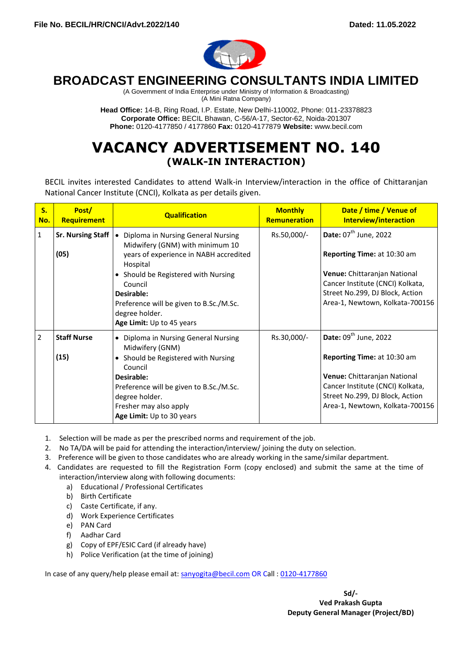

# **BROADCAST ENGINEERING CONSULTANTS INDIA LIMITED**

(A Government of India Enterprise under Ministry of Information & Broadcasting) (A Mini Ratna Company)

**Head Office:** 14-B, Ring Road, I.P. Estate, New Delhi-110002, Phone: 011-23378823 **Corporate Office:** BECIL Bhawan, C-56/A-17, Sector-62, Noida-201307 **Phone:** 0120-4177850 / 4177860 **Fax:** 0120-4177879 **Website:** www.becil.com

# **VACANCY ADVERTISEMENT NO. 140 (WALK-IN INTERACTION)**

BECIL invites interested Candidates to attend Walk-in Interview/interaction in the office of Chittaranjan National Cancer Institute (CNCI), Kolkata as per details given.

| $S_{\cdot}$<br>No. | Post/<br>Requirement             | <b>Qualification</b>                                                                                                                                                                                                                                                                               | <b>Monthly</b><br><b>Remuneration</b> | Date / time / Venue of<br>Interview/interaction                                                                                                                                                                          |
|--------------------|----------------------------------|----------------------------------------------------------------------------------------------------------------------------------------------------------------------------------------------------------------------------------------------------------------------------------------------------|---------------------------------------|--------------------------------------------------------------------------------------------------------------------------------------------------------------------------------------------------------------------------|
| 1                  | <b>Sr. Nursing Staff</b><br>(05) | Diploma in Nursing General Nursing<br>$\bullet$<br>Midwifery (GNM) with minimum 10<br>years of experience in NABH accredited<br>Hospital<br>• Should be Registered with Nursing<br>Council<br>Desirable:<br>Preference will be given to B.Sc./M.Sc.<br>degree holder.<br>Age Limit: Up to 45 years | Rs.50,000/-                           | Date: 07 <sup>th</sup> June, 2022<br><b>Reporting Time: at 10:30 am</b><br>Venue: Chittaranjan National<br>Cancer Institute (CNCI) Kolkata,<br>Street No.299, DJ Block, Action<br>Area-1, Newtown, Kolkata-700156        |
| $\overline{2}$     | <b>Staff Nurse</b><br>(15)       | Diploma in Nursing General Nursing<br>$\bullet$<br>Midwifery (GNM)<br>• Should be Registered with Nursing<br>Council<br>Desirable:<br>Preference will be given to B.Sc./M.Sc.<br>degree holder.<br>Fresher may also apply<br>Age Limit: Up to 30 years                                             | Rs.30,000/-                           | Date: $09^{\text{th}}$ June, 2022<br><b>Reporting Time: at 10:30 am</b><br><b>Venue:</b> Chittaranjan National<br>Cancer Institute (CNCI) Kolkata,<br>Street No.299, DJ Block, Action<br>Area-1, Newtown, Kolkata-700156 |

- 1. Selection will be made as per the prescribed norms and requirement of the job.
- 2. No TA/DA will be paid for attending the interaction/interview/ joining the duty on selection.
- 3. Preference will be given to those candidates who are already working in the same/similar department.
- 4. Candidates are requested to fill the Registration Form (copy enclosed) and submit the same at the time of interaction/interview along with following documents:
	- a) Educational / Professional Certificates
	- b) Birth Certificate
	- c) Caste Certificate, if any.
	- d) Work Experience Certificates
	- e) PAN Card
	- f) Aadhar Card
	- g) Copy of EPF/ESIC Card (if already have)
	- h) Police Verification (at the time of joining)

In case of any query/help please email at: sanyogita@becil.com OR Call : 0120-4177860

**Sd/-**

**Ved Prakash Gupta Deputy General Manager (Project/BD)**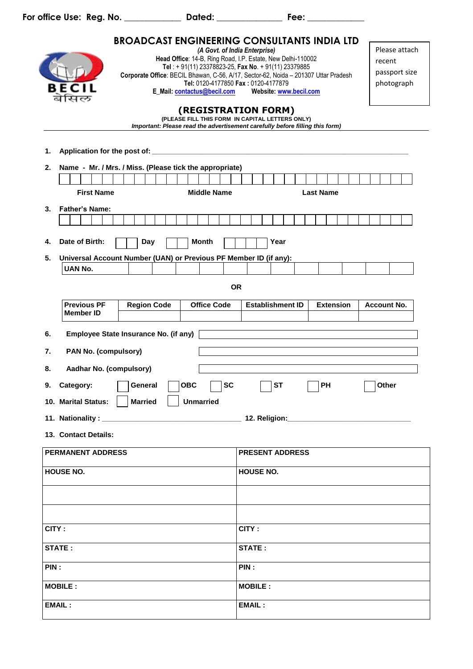**For office Use: Reg. No. \_\_\_\_\_\_\_\_\_\_\_\_\_ Dated: \_\_\_\_\_\_\_\_\_\_\_\_\_\_\_ Fee: \_\_\_\_\_\_\_\_\_\_\_\_\_**

| 1.<br>2.       |                                                                                                                                                                                                                                                                                          | <b>BROADCAST ENGINEERING CONSULTANTS INDIA LTD</b><br>Corporate Office: BECIL Bhawan, C-56, A/17, Sector-62, Noida - 201307 Uttar Pradesh<br>Name - Mr. / Mrs. / Miss. (Please tick the appropriate) | Head Office: 14-B, Ring Road, I.P. Estate, New Delhi-110002<br>Tel: +91(11) 23378823-25, Fax No. +91(11) 23379885<br>Tel: 0120-4177850 Fax: 0120-4177879<br>E_Mail: contactus@becil.com<br>(REGISTRATION FORM)<br>(PLEASE FILL THIS FORM IN CAPITAL LETTERS ONLY)<br>Important: Please read the advertisement carefully before filling this form) | (A Govt. of India Enterprise) | Website: www.becil.com |                  | Please attach<br>recent<br>passport size<br>photograph |
|----------------|------------------------------------------------------------------------------------------------------------------------------------------------------------------------------------------------------------------------------------------------------------------------------------------|------------------------------------------------------------------------------------------------------------------------------------------------------------------------------------------------------|---------------------------------------------------------------------------------------------------------------------------------------------------------------------------------------------------------------------------------------------------------------------------------------------------------------------------------------------------|-------------------------------|------------------------|------------------|--------------------------------------------------------|
|                | <b>First Name</b>                                                                                                                                                                                                                                                                        |                                                                                                                                                                                                      | <b>Middle Name</b>                                                                                                                                                                                                                                                                                                                                |                               |                        | <b>Last Name</b> |                                                        |
| 3.             | <b>Father's Name:</b>                                                                                                                                                                                                                                                                    |                                                                                                                                                                                                      |                                                                                                                                                                                                                                                                                                                                                   |                               |                        |                  |                                                        |
|                |                                                                                                                                                                                                                                                                                          |                                                                                                                                                                                                      |                                                                                                                                                                                                                                                                                                                                                   |                               |                        |                  |                                                        |
|                |                                                                                                                                                                                                                                                                                          |                                                                                                                                                                                                      |                                                                                                                                                                                                                                                                                                                                                   |                               |                        |                  |                                                        |
| 4.             | Date of Birth:                                                                                                                                                                                                                                                                           | Day                                                                                                                                                                                                  | <b>Month</b>                                                                                                                                                                                                                                                                                                                                      |                               | Year                   |                  |                                                        |
| 5.             |                                                                                                                                                                                                                                                                                          | Universal Account Number (UAN) or Previous PF Member ID (if any):                                                                                                                                    |                                                                                                                                                                                                                                                                                                                                                   |                               |                        |                  |                                                        |
|                | <b>UAN No.</b>                                                                                                                                                                                                                                                                           |                                                                                                                                                                                                      |                                                                                                                                                                                                                                                                                                                                                   |                               |                        |                  |                                                        |
|                |                                                                                                                                                                                                                                                                                          |                                                                                                                                                                                                      |                                                                                                                                                                                                                                                                                                                                                   | <b>OR</b>                     |                        |                  |                                                        |
|                |                                                                                                                                                                                                                                                                                          |                                                                                                                                                                                                      |                                                                                                                                                                                                                                                                                                                                                   |                               |                        |                  |                                                        |
|                | <b>Previous PF</b><br><b>Member ID</b>                                                                                                                                                                                                                                                   | <b>Region Code</b>                                                                                                                                                                                   | <b>Office Code</b>                                                                                                                                                                                                                                                                                                                                | <b>Establishment ID</b>       |                        | <b>Extension</b> | <b>Account No.</b>                                     |
| 6.<br>7.<br>8. | Employee State Insurance No. (if any)<br>PAN No. (compulsory)<br>Aadhar No. (compulsory)<br>$\Box$ sт<br>$\Box$ PH<br>$\Box$ General $\Box$<br>$\Box$ sc<br>$\overline{\phantom{0}}$<br><b>OBC</b><br>Other<br>9. Category:<br><b>Unmarried</b><br><b>Married</b><br>10. Marital Status: |                                                                                                                                                                                                      |                                                                                                                                                                                                                                                                                                                                                   |                               |                        |                  |                                                        |
|                |                                                                                                                                                                                                                                                                                          |                                                                                                                                                                                                      |                                                                                                                                                                                                                                                                                                                                                   |                               |                        |                  |                                                        |
|                | 13. Contact Details:                                                                                                                                                                                                                                                                     |                                                                                                                                                                                                      |                                                                                                                                                                                                                                                                                                                                                   |                               |                        |                  |                                                        |
|                |                                                                                                                                                                                                                                                                                          |                                                                                                                                                                                                      |                                                                                                                                                                                                                                                                                                                                                   |                               |                        |                  |                                                        |
|                | <b>PERMANENT ADDRESS</b>                                                                                                                                                                                                                                                                 |                                                                                                                                                                                                      |                                                                                                                                                                                                                                                                                                                                                   | <b>PRESENT ADDRESS</b>        |                        |                  |                                                        |
|                | <b>HOUSE NO.</b>                                                                                                                                                                                                                                                                         |                                                                                                                                                                                                      |                                                                                                                                                                                                                                                                                                                                                   | <b>HOUSE NO.</b>              |                        |                  |                                                        |
|                |                                                                                                                                                                                                                                                                                          |                                                                                                                                                                                                      |                                                                                                                                                                                                                                                                                                                                                   |                               |                        |                  |                                                        |
|                |                                                                                                                                                                                                                                                                                          |                                                                                                                                                                                                      |                                                                                                                                                                                                                                                                                                                                                   |                               |                        |                  |                                                        |
|                |                                                                                                                                                                                                                                                                                          |                                                                                                                                                                                                      |                                                                                                                                                                                                                                                                                                                                                   |                               |                        |                  |                                                        |
| CITY:          |                                                                                                                                                                                                                                                                                          |                                                                                                                                                                                                      |                                                                                                                                                                                                                                                                                                                                                   | CITY:                         |                        |                  |                                                        |
|                | STATE:                                                                                                                                                                                                                                                                                   |                                                                                                                                                                                                      |                                                                                                                                                                                                                                                                                                                                                   | STATE:                        |                        |                  |                                                        |
| PIN:           |                                                                                                                                                                                                                                                                                          |                                                                                                                                                                                                      |                                                                                                                                                                                                                                                                                                                                                   | PIN:                          |                        |                  |                                                        |
|                | <b>MOBILE:</b>                                                                                                                                                                                                                                                                           |                                                                                                                                                                                                      |                                                                                                                                                                                                                                                                                                                                                   | <b>MOBILE:</b>                |                        |                  |                                                        |
|                | <b>EMAIL:</b>                                                                                                                                                                                                                                                                            |                                                                                                                                                                                                      |                                                                                                                                                                                                                                                                                                                                                   | <b>EMAIL:</b>                 |                        |                  |                                                        |